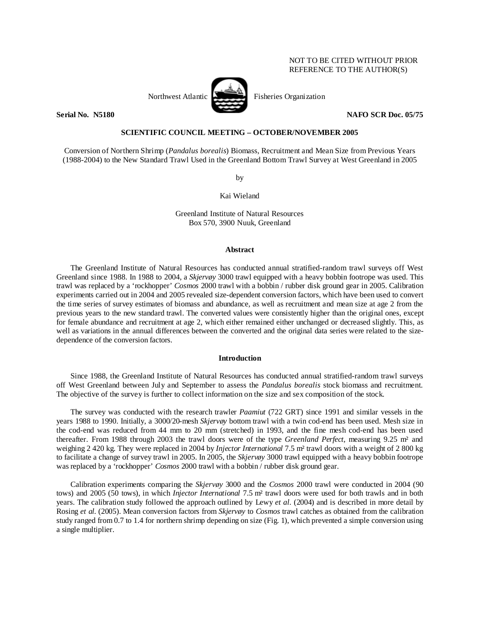# NOT TO BE CITED WITHOUT PRIOR REFERENCE TO THE AUTHOR(S)



Northwest Atlantic Fisheries Organization

**Serial No. 35180 NAFO SCR Doc. 05/75** 

## **SCIENTIFIC COUNCIL MEETING – OCTOBER/NOVEMBER 2005**

Conversion of Northern Shrimp (*Pandalus borealis*) Biomass, Recruitment and Mean Size from Previous Years (1988-2004) to the New Standard Trawl Used in the Greenland Bottom Trawl Survey at West Greenland in 2005

by

Kai Wieland

Greenland Institute of Natural Resources Box 570, 3900 Nuuk, Greenland

## **Abstract**

The Greenland Institute of Natural Resources has conducted annual stratified-random trawl surveys off West Greenland since 1988. In 1988 to 2004, a *Skjervøy* 3000 trawl equipped with a heavy bobbin footrope was used. This trawl was replaced by a 'rockhopper' *Cosmos* 2000 trawl with a bobbin / rubber disk ground gear in 2005. Calibration experiments carried out in 2004 and 2005 revealed size-dependent conversion factors, which have been used to convert the time series of survey estimates of biomass and abundance, as well as recruitment and mean size at age 2 from the previous years to the new standard trawl. The converted values were consistently higher than the original ones, except for female abundance and recruitment at age 2, which either remained either unchanged or decreased slightly. This, as well as variations in the annual differences between the converted and the original data series were related to the sizedependence of the conversion factors.

## **Introduction**

Since 1988, the Greenland Institute of Natural Resources has conducted annual stratified-random trawl surveys off West Greenland between July and September to assess the *Pandalus borealis* stock biomass and recruitment. The objective of the survey is further to collect information on the size and sex composition of the stock.

The survey was conducted with the research trawler *Paamiut* (722 GRT) since 1991 and similar vessels in the years 1988 to 1990. Initially, a 3000/20-mesh *Skjervøy* bottom trawl with a twin cod-end has been used. Mesh size in the cod-end was reduced from 44 mm to 20 mm (stretched) in 1993, and the fine mesh cod-end has been used thereafter. From 1988 through 2003 the trawl doors were of the type *Greenland Perfect*, measuring 9.25 m² and weighing 2 420 kg. They were replaced in 2004 by *Injector International* 7.5 m² trawl doors with a weight of 2 800 kg to facilitate a change of survey trawl in 2005. In 2005, the *Skjervøy* 3000 trawl equipped with a heavy bobbin footrope was replaced by a 'rockhopper' *Cosmos* 2000 trawl with a bobbin / rubber disk ground gear.

Calibration experiments comparing the *Skjervøy* 3000 and the *Cosmos* 2000 trawl were conducted in 2004 (90 tows) and 2005 (50 tows), in which *Injector International* 7.5 m² trawl doors were used for both trawls and in both years. The calibration study followed the approach outlined by Lewy *et al.* (2004) and is described in more detail by Rosing *et al.* (2005). Mean conversion factors from *Skjervøy* to *Cosmos* trawl catches as obtained from the calibration study ranged from 0.7 to 1.4 for northern shrimp depending on size (Fig. 1), which prevented a simple conversion using a single multiplier.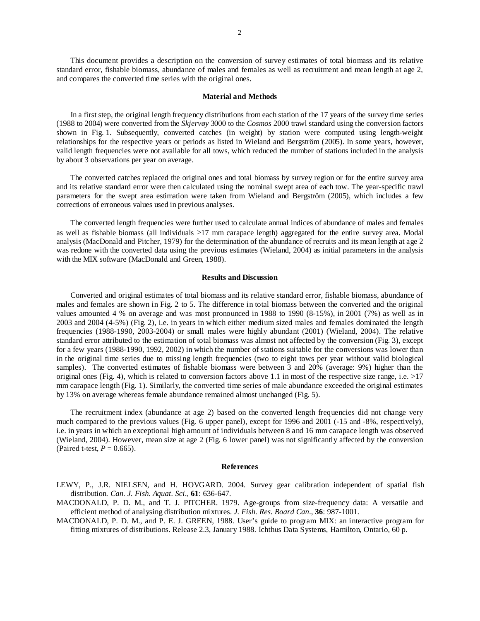2

This document provides a description on the conversion of survey estimates of total biomass and its relative standard error, fishable biomass, abundance of males and females as well as recruitment and mean length at age 2, and compares the converted time series with the original ones.

### **Material and Methods**

In a first step, the original length frequency distributions from each station of the 17 years of the survey time series (1988 to 2004) were converted from the *Skjervøy* 3000 to the *Cosmos* 2000 trawl standard using the conversion factors shown in Fig. 1. Subsequently, converted catches (in weight) by station were computed using length-weight relationships for the respective years or periods as listed in Wieland and Bergström (2005). In some years, however, valid length frequencies were not available for all tows, which reduced the number of stations included in the analysis by about 3 observations per year on average.

The converted catches replaced the original ones and total biomass by survey region or for the entire survey area and its relative standard error were then calculated using the nominal swept area of each tow. The year-specific trawl parameters for the swept area estimation were taken from Wieland and Bergström (2005), which includes a few corrections of erroneous values used in previous analyses.

The converted length frequencies were further used to calculate annual indices of abundance of males and females as well as fishable biomass (all individuals ≥17 mm carapace length) aggregated for the entire survey area. Modal analysis (MacDonald and Pitcher, 1979) for the determination of the abundance of recruits and its mean length at age 2 was redone with the converted data using the previous estimates (Wieland, 2004) as initial parameters in the analysis with the MIX software (MacDonald and Green, 1988).

#### **Results and Discussion**

Converted and original estimates of total biomass and its relative standard error, fishable biomass, abundance of males and females are shown in Fig. 2 to 5. The difference in total biomass between the converted and the original values amounted 4 % on average and was most pronounced in 1988 to 1990 (8-15%), in 2001 (7%) as well as in 2003 and 2004 (4-5%) (Fig. 2), i.e. in years in which either medium sized males and females dominated the length frequencies (1988-1990, 2003-2004) or small males were highly abundant (2001) (Wieland, 2004). The relative standard error attributed to the estimation of total biomass was almost not affected by the conversion (Fig. 3), except for a few years (1988-1990, 1992, 2002) in which the number of stations suitable for the conversions was lower than in the original time series due to missing length frequencies (two to eight tows per year without valid biological samples). The converted estimates of fishable biomass were between 3 and 20% (average: 9%) higher than the original ones (Fig. 4), which is related to conversion factors above 1.1 in most of the respective size range, i.e.  $>17$ mm carapace length (Fig. 1). Similarly, the converted time series of male abundance exceeded the original estimates by 13% on average whereas female abundance remained almost unchanged (Fig. 5).

The recruitment index (abundance at age 2) based on the converted length frequencies did not change very much compared to the previous values (Fig. 6 upper panel), except for 1996 and 2001 (-15 and -8%, respectively), i.e. in years in which an exceptional high amount of individuals between 8 and 16 mm carapace length was observed (Wieland, 2004). However, mean size at age 2 (Fig. 6 lower panel) was not significantly affected by the conversion (Paired t-test,  $P = 0.665$ ).

#### **References**

LEWY, P., J.R. NIELSEN, and H. HOVGARD. 2004. Survey gear calibration independent of spatial fish distribution. *Can. J. Fish. Aquat. Sci*., **61**: 636-647.

MACDONALD, P. D. M., and T. J. PITCHER. 1979. Age-groups from size-frequency data: A versatile and efficient method of analysing distribution mixtures. *J. Fish. Res. Board Can*., **36**: 987-1001.

MACDONALD, P. D. M., and P. E. J. GREEN, 1988. User's guide to program MIX: an interactive program for fitting mixtures of distributions. Release 2.3, January 1988. Ichthus Data Systems, Hamilton, Ontario, 60 p.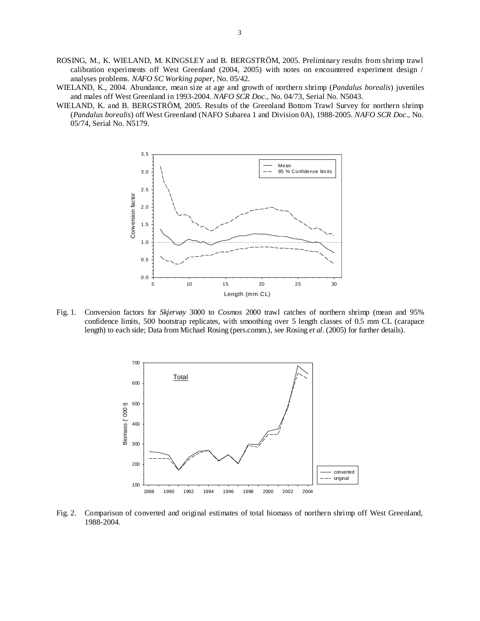- ROSING, M., K. WIELAND, M. KINGSLEY and B. BERGSTRÖM, 2005. Preliminary results from shrimp trawl calibration experiments off West Greenland (2004, 2005) with notes on encountered experiment design / analyses problems. *NAFO SC Working paper*, No. 05/42.
- WIELAND, K., 2004. Abundance, mean size at age and growth of northern shrimp (*Pandalus borealis*) juveniles and males off West Greenland in 1993-2004. *NAFO SCR Doc*., No. 04/73, Serial No. N5043.
- WIELAND, K. and B. BERGSTRÖM, 2005. Results of the Greenland Bottom Trawl Survey for northern shrimp (*Pandalus borealis*) off West Greenland (NAFO Subarea 1 and Division 0A), 1988-2005. *NAFO SCR Doc*., No. 05/74, Serial No. N5179.



Fig. 1. Conversion factors for *Skjervøy* 3000 to *Cosmos* 2000 trawl catches of northern shrimp (mean and 95% confidence limits, 500 bootstrap replicates, with smoothing over 5 length classes of 0.5 mm CL (carapace length) to each side; Data from Michael Rosing (pers.comm.), see Rosing *et al*. (2005) for further details).



Fig. 2. Comparison of converted and original estimates of total biomass of northern shrimp off West Greenland, 1988-2004.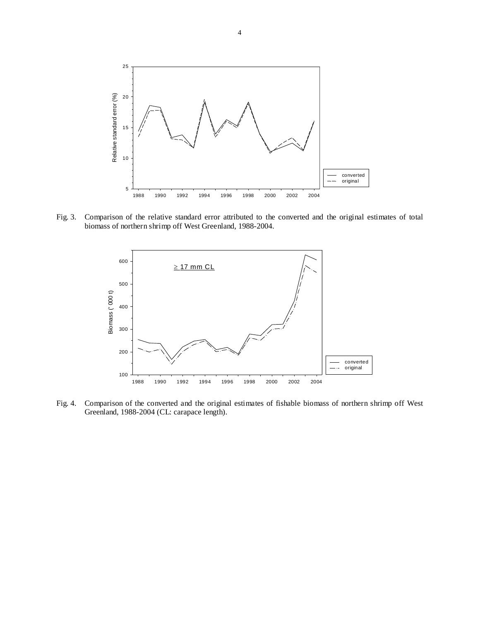

Fig. 3. Comparison of the relative standard error attributed to the converted and the original estimates of total biomass of northern shrimp off West Greenland, 1988-2004.



Fig. 4. Comparison of the converted and the original estimates of fishable biomass of northern shrimp off West Greenland, 1988-2004 (CL: carapace length).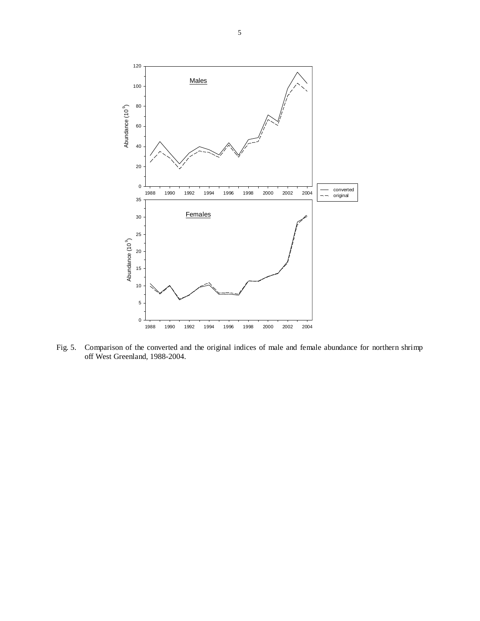

Fig. 5. Comparison of the converted and the original indices of male and female abundance for northern shrimp off West Greenland, 1988-2004.